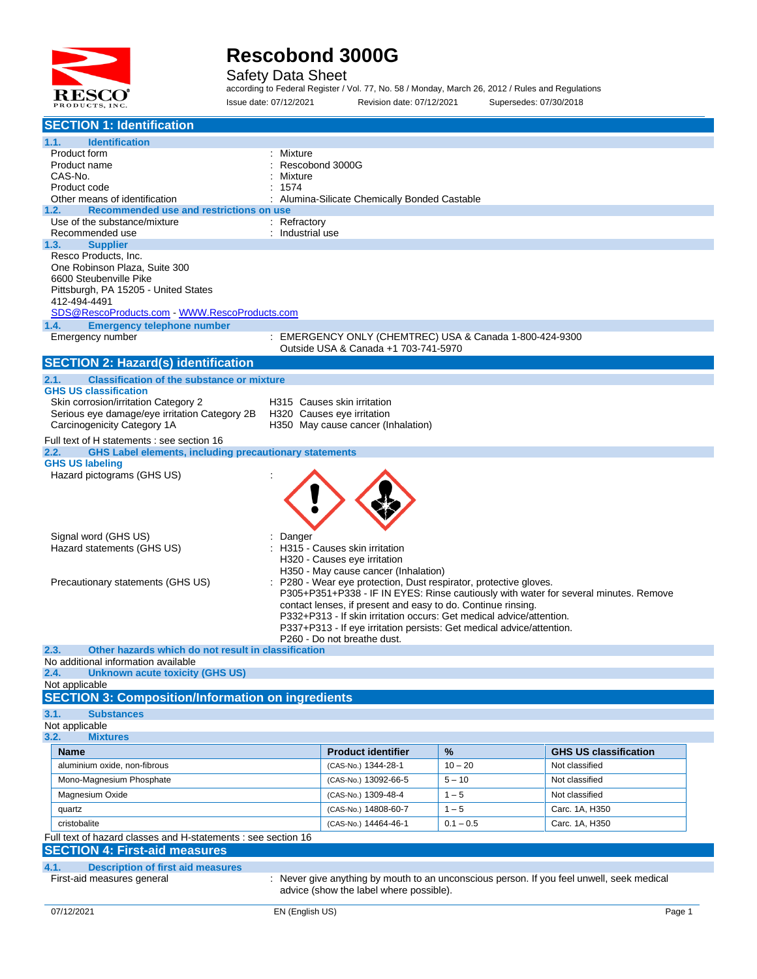

Safety Data Sheet

according to Federal Register / Vol. 77, No. 58 / Monday, March 26, 2012 / Rules and Regulations Issue date: 07/12/2021 Revision date: 07/12/2021 Supersedes: 07/30/2018

| <b>SECTION 1: Identification</b>                                               |                                                                                                         |             |                                                                                      |
|--------------------------------------------------------------------------------|---------------------------------------------------------------------------------------------------------|-------------|--------------------------------------------------------------------------------------|
| 1.1.<br><b>Identification</b>                                                  |                                                                                                         |             |                                                                                      |
| Product form                                                                   | : Mixture                                                                                               |             |                                                                                      |
| Product name                                                                   | Rescobond 3000G                                                                                         |             |                                                                                      |
| CAS-No.<br>Product code                                                        | Mixture<br>1574                                                                                         |             |                                                                                      |
| Other means of identification                                                  | Alumina-Silicate Chemically Bonded Castable                                                             |             |                                                                                      |
| Recommended use and restrictions on use<br>1.2.                                |                                                                                                         |             |                                                                                      |
| Use of the substance/mixture                                                   | $:$ Refractory                                                                                          |             |                                                                                      |
| Recommended use                                                                | : Industrial use                                                                                        |             |                                                                                      |
| 1.3.<br><b>Supplier</b><br>Resco Products, Inc.                                |                                                                                                         |             |                                                                                      |
| One Robinson Plaza, Suite 300                                                  |                                                                                                         |             |                                                                                      |
| 6600 Steubenville Pike                                                         |                                                                                                         |             |                                                                                      |
| Pittsburgh, PA 15205 - United States                                           |                                                                                                         |             |                                                                                      |
| 412-494-4491<br>SDS@RescoProducts.com - WWW.RescoProducts.com                  |                                                                                                         |             |                                                                                      |
| 1.4.<br><b>Emergency telephone number</b>                                      |                                                                                                         |             |                                                                                      |
| Emergency number                                                               | : EMERGENCY ONLY (CHEMTREC) USA & Canada 1-800-424-9300                                                 |             |                                                                                      |
|                                                                                | Outside USA & Canada +1 703-741-5970                                                                    |             |                                                                                      |
| <b>SECTION 2: Hazard(s) identification</b>                                     |                                                                                                         |             |                                                                                      |
| <b>Classification of the substance or mixture</b><br>2.1.                      |                                                                                                         |             |                                                                                      |
| <b>GHS US classification</b><br>Skin corrosion/irritation Category 2           | H315 Causes skin irritation                                                                             |             |                                                                                      |
| Serious eye damage/eye irritation Category 2B                                  | H320 Causes eye irritation                                                                              |             |                                                                                      |
| Carcinogenicity Category 1A                                                    | H350 May cause cancer (Inhalation)                                                                      |             |                                                                                      |
| Full text of H statements : see section 16                                     |                                                                                                         |             |                                                                                      |
| <b>GHS Label elements, including precautionary statements</b><br>2.2.          |                                                                                                         |             |                                                                                      |
| <b>GHS US labeling</b>                                                         |                                                                                                         |             |                                                                                      |
| Hazard pictograms (GHS US)                                                     |                                                                                                         |             |                                                                                      |
|                                                                                |                                                                                                         |             |                                                                                      |
|                                                                                |                                                                                                         |             |                                                                                      |
|                                                                                |                                                                                                         |             |                                                                                      |
| Signal word (GHS US)                                                           | Danger                                                                                                  |             |                                                                                      |
| Hazard statements (GHS US)                                                     | H315 - Causes skin irritation                                                                           |             |                                                                                      |
|                                                                                | H320 - Causes eye irritation                                                                            |             |                                                                                      |
| Precautionary statements (GHS US)                                              | H350 - May cause cancer (Inhalation)<br>P280 - Wear eye protection, Dust respirator, protective gloves. |             |                                                                                      |
|                                                                                |                                                                                                         |             | P305+P351+P338 - IF IN EYES: Rinse cautiously with water for several minutes. Remove |
|                                                                                | contact lenses, if present and easy to do. Continue rinsing.                                            |             |                                                                                      |
|                                                                                | P332+P313 - If skin irritation occurs: Get medical advice/attention.                                    |             |                                                                                      |
|                                                                                | P337+P313 - If eye irritation persists: Get medical advice/attention.<br>P260 - Do not breathe dust.    |             |                                                                                      |
| 2.3.<br>Other hazards which do not result in classification                    |                                                                                                         |             |                                                                                      |
| No additional information available                                            |                                                                                                         |             |                                                                                      |
| <b>Unknown acute toxicity (GHS US)</b><br>2.4.                                 |                                                                                                         |             |                                                                                      |
| Not applicable                                                                 |                                                                                                         |             |                                                                                      |
| <b>SECTION 3: Composition/Information on ingredients</b>                       |                                                                                                         |             |                                                                                      |
| 3.1.<br><b>Substances</b><br>Not applicable                                    |                                                                                                         |             |                                                                                      |
| 3.2.<br><b>Mixtures</b>                                                        |                                                                                                         |             |                                                                                      |
| Name                                                                           | <b>Product identifier</b>                                                                               | %           | <b>GHS US classification</b>                                                         |
| aluminium oxide, non-fibrous                                                   | (CAS-No.) 1344-28-1                                                                                     | $10 - 20$   | Not classified                                                                       |
| Mono-Magnesium Phosphate                                                       | (CAS-No.) 13092-66-5                                                                                    | $5 - 10$    | Not classified                                                                       |
| Magnesium Oxide                                                                | (CAS-No.) 1309-48-4                                                                                     | $1 - 5$     | Not classified                                                                       |
|                                                                                |                                                                                                         | $1 - 5$     |                                                                                      |
| quartz<br>cristobalite                                                         | (CAS-No.) 14808-60-7<br>(CAS-No.) 14464-46-1                                                            |             | Carc. 1A, H350                                                                       |
| Full text of hazard classes and H-statements : see section 16                  |                                                                                                         | $0.1 - 0.5$ | Carc. 1A, H350                                                                       |
| <b>SECTION 4: First-aid measures</b>                                           |                                                                                                         |             |                                                                                      |
|                                                                                |                                                                                                         |             |                                                                                      |
| 4.1.<br><b>Description of first aid measures</b><br>First-aid measures general | : Never give anything by mouth to an unconscious person. If you feel unwell, seek medical               |             |                                                                                      |
|                                                                                | advice (show the label where possible).                                                                 |             |                                                                                      |
|                                                                                |                                                                                                         |             |                                                                                      |
| 07/12/2021                                                                     | EN (English US)                                                                                         |             | Page 1                                                                               |
|                                                                                |                                                                                                         |             |                                                                                      |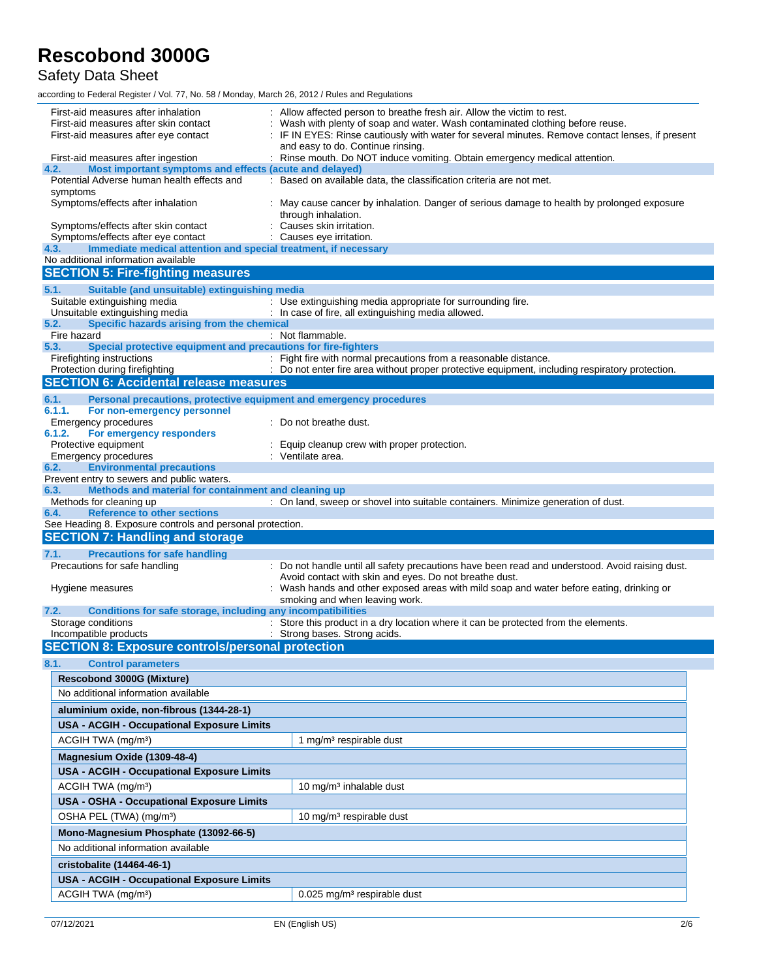Safety Data Sheet

| : IF IN EYES: Rinse cautiously with water for several minutes. Remove contact lenses, if present<br>First-aid measures after eye contact<br>and easy to do. Continue rinsing.<br>: Rinse mouth. Do NOT induce vomiting. Obtain emergency medical attention.<br>First-aid measures after ingestion<br>4.2.<br>Most important symptoms and effects (acute and delayed)<br>Potential Adverse human health effects and<br>: Based on available data, the classification criteria are not met.<br>symptoms<br>Symptoms/effects after inhalation<br>: May cause cancer by inhalation. Danger of serious damage to health by prolonged exposure<br>through inhalation.<br>Symptoms/effects after skin contact<br>Causes skin irritation.<br>Symptoms/effects after eye contact<br>: Causes eye irritation.<br>Immediate medical attention and special treatment, if necessary<br>4.3.<br>No additional information available<br><b>SECTION 5: Fire-fighting measures</b><br>Suitable (and unsuitable) extinguishing media<br>5.1.<br>Suitable extinguishing media<br>: Use extinguishing media appropriate for surrounding fire.<br>Unsuitable extinguishing media<br>: In case of fire, all extinguishing media allowed.<br>Specific hazards arising from the chemical<br>5.2.<br>: Not flammable.<br>Fire hazard<br>5.3.<br>Special protective equipment and precautions for fire-fighters<br>Firefighting instructions<br>: Fight fire with normal precautions from a reasonable distance.<br>Protection during firefighting<br>: Do not enter fire area without proper protective equipment, including respiratory protection.<br><b>SECTION 6: Accidental release measures</b><br>6.1.<br>Personal precautions, protective equipment and emergency procedures<br>6.1.1.<br>For non-emergency personnel<br>Emergency procedures<br>: Do not breathe dust.<br>6.1.2.<br>For emergency responders<br>Protective equipment<br>Equip cleanup crew with proper protection.<br>: Ventilate area.<br><b>Emergency procedures</b><br><b>Environmental precautions</b><br>6.2.<br>Prevent entry to sewers and public waters.<br>Methods and material for containment and cleaning up<br>6.3.<br>Methods for cleaning up<br>: On land, sweep or shovel into suitable containers. Minimize generation of dust.<br><b>Reference to other sections</b><br>6.4.<br>See Heading 8. Exposure controls and personal protection.<br><b>SECTION 7: Handling and storage</b><br><b>Precautions for safe handling</b><br>7.1.<br>Precautions for safe handling<br>: Do not handle until all safety precautions have been read and understood. Avoid raising dust.<br>Avoid contact with skin and eyes. Do not breathe dust.<br>: Wash hands and other exposed areas with mild soap and water before eating, drinking or<br>Hygiene measures<br>smoking and when leaving work.<br>7.2.<br>Conditions for safe storage, including any incompatibilities<br>Storage conditions<br>: Store this product in a dry location where it can be protected from the elements.<br>Incompatible products<br>: Strong bases. Strong acids.<br><b>SECTION 8: Exposure controls/personal protection</b><br>8.1.<br><b>Control parameters</b><br><b>Rescobond 3000G (Mixture)</b><br>No additional information available<br>aluminium oxide, non-fibrous (1344-28-1)<br><b>USA - ACGIH - Occupational Exposure Limits</b><br>ACGIH TWA (mg/m <sup>3</sup> )<br>1 mg/m <sup>3</sup> respirable dust<br>Magnesium Oxide (1309-48-4)<br>USA - ACGIH - Occupational Exposure Limits<br>ACGIH TWA (mg/m <sup>3</sup> )<br>10 mg/m <sup>3</sup> inhalable dust<br>USA - OSHA - Occupational Exposure Limits<br>OSHA PEL (TWA) (mg/m <sup>3</sup> )<br>10 mg/m <sup>3</sup> respirable dust<br>Mono-Magnesium Phosphate (13092-66-5)<br>No additional information available<br>cristobalite (14464-46-1)<br>USA - ACGIH - Occupational Exposure Limits<br>ACGIH TWA (mg/m <sup>3</sup> )<br>0.025 mg/m <sup>3</sup> respirable dust | First-aid measures after inhalation<br>First-aid measures after skin contact | : Allow affected person to breathe fresh air. Allow the victim to rest.<br>Wash with plenty of soap and water. Wash contaminated clothing before reuse. |
|-------------------------------------------------------------------------------------------------------------------------------------------------------------------------------------------------------------------------------------------------------------------------------------------------------------------------------------------------------------------------------------------------------------------------------------------------------------------------------------------------------------------------------------------------------------------------------------------------------------------------------------------------------------------------------------------------------------------------------------------------------------------------------------------------------------------------------------------------------------------------------------------------------------------------------------------------------------------------------------------------------------------------------------------------------------------------------------------------------------------------------------------------------------------------------------------------------------------------------------------------------------------------------------------------------------------------------------------------------------------------------------------------------------------------------------------------------------------------------------------------------------------------------------------------------------------------------------------------------------------------------------------------------------------------------------------------------------------------------------------------------------------------------------------------------------------------------------------------------------------------------------------------------------------------------------------------------------------------------------------------------------------------------------------------------------------------------------------------------------------------------------------------------------------------------------------------------------------------------------------------------------------------------------------------------------------------------------------------------------------------------------------------------------------------------------------------------------------------------------------------------------------------------------------------------------------------------------------------------------------------------------------------------------------------------------------------------------------------------------------------------------------------------------------------------------------------------------------------------------------------------------------------------------------------------------------------------------------------------------------------------------------------------------------------------------------------------------------------------------------------------------------------------------------------------------------------------------------------------------------------------------------------------------------------------------------------------------------------------------------------------------------------------------------------------------------------------------------------------------------------------------------------------------------------------------------------------------------------------------------------------------------------------------------------------------------------------------------------------------------------------------------------------------------------------------------------------------------------------------------------------------------------------------------------------------------------------------------------------------|------------------------------------------------------------------------------|---------------------------------------------------------------------------------------------------------------------------------------------------------|
|                                                                                                                                                                                                                                                                                                                                                                                                                                                                                                                                                                                                                                                                                                                                                                                                                                                                                                                                                                                                                                                                                                                                                                                                                                                                                                                                                                                                                                                                                                                                                                                                                                                                                                                                                                                                                                                                                                                                                                                                                                                                                                                                                                                                                                                                                                                                                                                                                                                                                                                                                                                                                                                                                                                                                                                                                                                                                                                                                                                                                                                                                                                                                                                                                                                                                                                                                                                                                                                                                                                                                                                                                                                                                                                                                                                                                                                                                                                                                                                     |                                                                              |                                                                                                                                                         |
|                                                                                                                                                                                                                                                                                                                                                                                                                                                                                                                                                                                                                                                                                                                                                                                                                                                                                                                                                                                                                                                                                                                                                                                                                                                                                                                                                                                                                                                                                                                                                                                                                                                                                                                                                                                                                                                                                                                                                                                                                                                                                                                                                                                                                                                                                                                                                                                                                                                                                                                                                                                                                                                                                                                                                                                                                                                                                                                                                                                                                                                                                                                                                                                                                                                                                                                                                                                                                                                                                                                                                                                                                                                                                                                                                                                                                                                                                                                                                                                     |                                                                              |                                                                                                                                                         |
|                                                                                                                                                                                                                                                                                                                                                                                                                                                                                                                                                                                                                                                                                                                                                                                                                                                                                                                                                                                                                                                                                                                                                                                                                                                                                                                                                                                                                                                                                                                                                                                                                                                                                                                                                                                                                                                                                                                                                                                                                                                                                                                                                                                                                                                                                                                                                                                                                                                                                                                                                                                                                                                                                                                                                                                                                                                                                                                                                                                                                                                                                                                                                                                                                                                                                                                                                                                                                                                                                                                                                                                                                                                                                                                                                                                                                                                                                                                                                                                     |                                                                              |                                                                                                                                                         |
|                                                                                                                                                                                                                                                                                                                                                                                                                                                                                                                                                                                                                                                                                                                                                                                                                                                                                                                                                                                                                                                                                                                                                                                                                                                                                                                                                                                                                                                                                                                                                                                                                                                                                                                                                                                                                                                                                                                                                                                                                                                                                                                                                                                                                                                                                                                                                                                                                                                                                                                                                                                                                                                                                                                                                                                                                                                                                                                                                                                                                                                                                                                                                                                                                                                                                                                                                                                                                                                                                                                                                                                                                                                                                                                                                                                                                                                                                                                                                                                     |                                                                              |                                                                                                                                                         |
|                                                                                                                                                                                                                                                                                                                                                                                                                                                                                                                                                                                                                                                                                                                                                                                                                                                                                                                                                                                                                                                                                                                                                                                                                                                                                                                                                                                                                                                                                                                                                                                                                                                                                                                                                                                                                                                                                                                                                                                                                                                                                                                                                                                                                                                                                                                                                                                                                                                                                                                                                                                                                                                                                                                                                                                                                                                                                                                                                                                                                                                                                                                                                                                                                                                                                                                                                                                                                                                                                                                                                                                                                                                                                                                                                                                                                                                                                                                                                                                     |                                                                              |                                                                                                                                                         |
|                                                                                                                                                                                                                                                                                                                                                                                                                                                                                                                                                                                                                                                                                                                                                                                                                                                                                                                                                                                                                                                                                                                                                                                                                                                                                                                                                                                                                                                                                                                                                                                                                                                                                                                                                                                                                                                                                                                                                                                                                                                                                                                                                                                                                                                                                                                                                                                                                                                                                                                                                                                                                                                                                                                                                                                                                                                                                                                                                                                                                                                                                                                                                                                                                                                                                                                                                                                                                                                                                                                                                                                                                                                                                                                                                                                                                                                                                                                                                                                     |                                                                              |                                                                                                                                                         |
|                                                                                                                                                                                                                                                                                                                                                                                                                                                                                                                                                                                                                                                                                                                                                                                                                                                                                                                                                                                                                                                                                                                                                                                                                                                                                                                                                                                                                                                                                                                                                                                                                                                                                                                                                                                                                                                                                                                                                                                                                                                                                                                                                                                                                                                                                                                                                                                                                                                                                                                                                                                                                                                                                                                                                                                                                                                                                                                                                                                                                                                                                                                                                                                                                                                                                                                                                                                                                                                                                                                                                                                                                                                                                                                                                                                                                                                                                                                                                                                     |                                                                              |                                                                                                                                                         |
|                                                                                                                                                                                                                                                                                                                                                                                                                                                                                                                                                                                                                                                                                                                                                                                                                                                                                                                                                                                                                                                                                                                                                                                                                                                                                                                                                                                                                                                                                                                                                                                                                                                                                                                                                                                                                                                                                                                                                                                                                                                                                                                                                                                                                                                                                                                                                                                                                                                                                                                                                                                                                                                                                                                                                                                                                                                                                                                                                                                                                                                                                                                                                                                                                                                                                                                                                                                                                                                                                                                                                                                                                                                                                                                                                                                                                                                                                                                                                                                     |                                                                              |                                                                                                                                                         |
|                                                                                                                                                                                                                                                                                                                                                                                                                                                                                                                                                                                                                                                                                                                                                                                                                                                                                                                                                                                                                                                                                                                                                                                                                                                                                                                                                                                                                                                                                                                                                                                                                                                                                                                                                                                                                                                                                                                                                                                                                                                                                                                                                                                                                                                                                                                                                                                                                                                                                                                                                                                                                                                                                                                                                                                                                                                                                                                                                                                                                                                                                                                                                                                                                                                                                                                                                                                                                                                                                                                                                                                                                                                                                                                                                                                                                                                                                                                                                                                     |                                                                              |                                                                                                                                                         |
|                                                                                                                                                                                                                                                                                                                                                                                                                                                                                                                                                                                                                                                                                                                                                                                                                                                                                                                                                                                                                                                                                                                                                                                                                                                                                                                                                                                                                                                                                                                                                                                                                                                                                                                                                                                                                                                                                                                                                                                                                                                                                                                                                                                                                                                                                                                                                                                                                                                                                                                                                                                                                                                                                                                                                                                                                                                                                                                                                                                                                                                                                                                                                                                                                                                                                                                                                                                                                                                                                                                                                                                                                                                                                                                                                                                                                                                                                                                                                                                     |                                                                              |                                                                                                                                                         |
|                                                                                                                                                                                                                                                                                                                                                                                                                                                                                                                                                                                                                                                                                                                                                                                                                                                                                                                                                                                                                                                                                                                                                                                                                                                                                                                                                                                                                                                                                                                                                                                                                                                                                                                                                                                                                                                                                                                                                                                                                                                                                                                                                                                                                                                                                                                                                                                                                                                                                                                                                                                                                                                                                                                                                                                                                                                                                                                                                                                                                                                                                                                                                                                                                                                                                                                                                                                                                                                                                                                                                                                                                                                                                                                                                                                                                                                                                                                                                                                     |                                                                              |                                                                                                                                                         |
|                                                                                                                                                                                                                                                                                                                                                                                                                                                                                                                                                                                                                                                                                                                                                                                                                                                                                                                                                                                                                                                                                                                                                                                                                                                                                                                                                                                                                                                                                                                                                                                                                                                                                                                                                                                                                                                                                                                                                                                                                                                                                                                                                                                                                                                                                                                                                                                                                                                                                                                                                                                                                                                                                                                                                                                                                                                                                                                                                                                                                                                                                                                                                                                                                                                                                                                                                                                                                                                                                                                                                                                                                                                                                                                                                                                                                                                                                                                                                                                     |                                                                              |                                                                                                                                                         |
|                                                                                                                                                                                                                                                                                                                                                                                                                                                                                                                                                                                                                                                                                                                                                                                                                                                                                                                                                                                                                                                                                                                                                                                                                                                                                                                                                                                                                                                                                                                                                                                                                                                                                                                                                                                                                                                                                                                                                                                                                                                                                                                                                                                                                                                                                                                                                                                                                                                                                                                                                                                                                                                                                                                                                                                                                                                                                                                                                                                                                                                                                                                                                                                                                                                                                                                                                                                                                                                                                                                                                                                                                                                                                                                                                                                                                                                                                                                                                                                     |                                                                              |                                                                                                                                                         |
|                                                                                                                                                                                                                                                                                                                                                                                                                                                                                                                                                                                                                                                                                                                                                                                                                                                                                                                                                                                                                                                                                                                                                                                                                                                                                                                                                                                                                                                                                                                                                                                                                                                                                                                                                                                                                                                                                                                                                                                                                                                                                                                                                                                                                                                                                                                                                                                                                                                                                                                                                                                                                                                                                                                                                                                                                                                                                                                                                                                                                                                                                                                                                                                                                                                                                                                                                                                                                                                                                                                                                                                                                                                                                                                                                                                                                                                                                                                                                                                     |                                                                              |                                                                                                                                                         |
|                                                                                                                                                                                                                                                                                                                                                                                                                                                                                                                                                                                                                                                                                                                                                                                                                                                                                                                                                                                                                                                                                                                                                                                                                                                                                                                                                                                                                                                                                                                                                                                                                                                                                                                                                                                                                                                                                                                                                                                                                                                                                                                                                                                                                                                                                                                                                                                                                                                                                                                                                                                                                                                                                                                                                                                                                                                                                                                                                                                                                                                                                                                                                                                                                                                                                                                                                                                                                                                                                                                                                                                                                                                                                                                                                                                                                                                                                                                                                                                     |                                                                              |                                                                                                                                                         |
|                                                                                                                                                                                                                                                                                                                                                                                                                                                                                                                                                                                                                                                                                                                                                                                                                                                                                                                                                                                                                                                                                                                                                                                                                                                                                                                                                                                                                                                                                                                                                                                                                                                                                                                                                                                                                                                                                                                                                                                                                                                                                                                                                                                                                                                                                                                                                                                                                                                                                                                                                                                                                                                                                                                                                                                                                                                                                                                                                                                                                                                                                                                                                                                                                                                                                                                                                                                                                                                                                                                                                                                                                                                                                                                                                                                                                                                                                                                                                                                     |                                                                              |                                                                                                                                                         |
|                                                                                                                                                                                                                                                                                                                                                                                                                                                                                                                                                                                                                                                                                                                                                                                                                                                                                                                                                                                                                                                                                                                                                                                                                                                                                                                                                                                                                                                                                                                                                                                                                                                                                                                                                                                                                                                                                                                                                                                                                                                                                                                                                                                                                                                                                                                                                                                                                                                                                                                                                                                                                                                                                                                                                                                                                                                                                                                                                                                                                                                                                                                                                                                                                                                                                                                                                                                                                                                                                                                                                                                                                                                                                                                                                                                                                                                                                                                                                                                     |                                                                              |                                                                                                                                                         |
|                                                                                                                                                                                                                                                                                                                                                                                                                                                                                                                                                                                                                                                                                                                                                                                                                                                                                                                                                                                                                                                                                                                                                                                                                                                                                                                                                                                                                                                                                                                                                                                                                                                                                                                                                                                                                                                                                                                                                                                                                                                                                                                                                                                                                                                                                                                                                                                                                                                                                                                                                                                                                                                                                                                                                                                                                                                                                                                                                                                                                                                                                                                                                                                                                                                                                                                                                                                                                                                                                                                                                                                                                                                                                                                                                                                                                                                                                                                                                                                     |                                                                              |                                                                                                                                                         |
|                                                                                                                                                                                                                                                                                                                                                                                                                                                                                                                                                                                                                                                                                                                                                                                                                                                                                                                                                                                                                                                                                                                                                                                                                                                                                                                                                                                                                                                                                                                                                                                                                                                                                                                                                                                                                                                                                                                                                                                                                                                                                                                                                                                                                                                                                                                                                                                                                                                                                                                                                                                                                                                                                                                                                                                                                                                                                                                                                                                                                                                                                                                                                                                                                                                                                                                                                                                                                                                                                                                                                                                                                                                                                                                                                                                                                                                                                                                                                                                     |                                                                              |                                                                                                                                                         |
|                                                                                                                                                                                                                                                                                                                                                                                                                                                                                                                                                                                                                                                                                                                                                                                                                                                                                                                                                                                                                                                                                                                                                                                                                                                                                                                                                                                                                                                                                                                                                                                                                                                                                                                                                                                                                                                                                                                                                                                                                                                                                                                                                                                                                                                                                                                                                                                                                                                                                                                                                                                                                                                                                                                                                                                                                                                                                                                                                                                                                                                                                                                                                                                                                                                                                                                                                                                                                                                                                                                                                                                                                                                                                                                                                                                                                                                                                                                                                                                     |                                                                              |                                                                                                                                                         |
|                                                                                                                                                                                                                                                                                                                                                                                                                                                                                                                                                                                                                                                                                                                                                                                                                                                                                                                                                                                                                                                                                                                                                                                                                                                                                                                                                                                                                                                                                                                                                                                                                                                                                                                                                                                                                                                                                                                                                                                                                                                                                                                                                                                                                                                                                                                                                                                                                                                                                                                                                                                                                                                                                                                                                                                                                                                                                                                                                                                                                                                                                                                                                                                                                                                                                                                                                                                                                                                                                                                                                                                                                                                                                                                                                                                                                                                                                                                                                                                     |                                                                              |                                                                                                                                                         |
|                                                                                                                                                                                                                                                                                                                                                                                                                                                                                                                                                                                                                                                                                                                                                                                                                                                                                                                                                                                                                                                                                                                                                                                                                                                                                                                                                                                                                                                                                                                                                                                                                                                                                                                                                                                                                                                                                                                                                                                                                                                                                                                                                                                                                                                                                                                                                                                                                                                                                                                                                                                                                                                                                                                                                                                                                                                                                                                                                                                                                                                                                                                                                                                                                                                                                                                                                                                                                                                                                                                                                                                                                                                                                                                                                                                                                                                                                                                                                                                     |                                                                              |                                                                                                                                                         |
|                                                                                                                                                                                                                                                                                                                                                                                                                                                                                                                                                                                                                                                                                                                                                                                                                                                                                                                                                                                                                                                                                                                                                                                                                                                                                                                                                                                                                                                                                                                                                                                                                                                                                                                                                                                                                                                                                                                                                                                                                                                                                                                                                                                                                                                                                                                                                                                                                                                                                                                                                                                                                                                                                                                                                                                                                                                                                                                                                                                                                                                                                                                                                                                                                                                                                                                                                                                                                                                                                                                                                                                                                                                                                                                                                                                                                                                                                                                                                                                     |                                                                              |                                                                                                                                                         |
|                                                                                                                                                                                                                                                                                                                                                                                                                                                                                                                                                                                                                                                                                                                                                                                                                                                                                                                                                                                                                                                                                                                                                                                                                                                                                                                                                                                                                                                                                                                                                                                                                                                                                                                                                                                                                                                                                                                                                                                                                                                                                                                                                                                                                                                                                                                                                                                                                                                                                                                                                                                                                                                                                                                                                                                                                                                                                                                                                                                                                                                                                                                                                                                                                                                                                                                                                                                                                                                                                                                                                                                                                                                                                                                                                                                                                                                                                                                                                                                     |                                                                              |                                                                                                                                                         |
|                                                                                                                                                                                                                                                                                                                                                                                                                                                                                                                                                                                                                                                                                                                                                                                                                                                                                                                                                                                                                                                                                                                                                                                                                                                                                                                                                                                                                                                                                                                                                                                                                                                                                                                                                                                                                                                                                                                                                                                                                                                                                                                                                                                                                                                                                                                                                                                                                                                                                                                                                                                                                                                                                                                                                                                                                                                                                                                                                                                                                                                                                                                                                                                                                                                                                                                                                                                                                                                                                                                                                                                                                                                                                                                                                                                                                                                                                                                                                                                     |                                                                              |                                                                                                                                                         |
|                                                                                                                                                                                                                                                                                                                                                                                                                                                                                                                                                                                                                                                                                                                                                                                                                                                                                                                                                                                                                                                                                                                                                                                                                                                                                                                                                                                                                                                                                                                                                                                                                                                                                                                                                                                                                                                                                                                                                                                                                                                                                                                                                                                                                                                                                                                                                                                                                                                                                                                                                                                                                                                                                                                                                                                                                                                                                                                                                                                                                                                                                                                                                                                                                                                                                                                                                                                                                                                                                                                                                                                                                                                                                                                                                                                                                                                                                                                                                                                     |                                                                              |                                                                                                                                                         |
|                                                                                                                                                                                                                                                                                                                                                                                                                                                                                                                                                                                                                                                                                                                                                                                                                                                                                                                                                                                                                                                                                                                                                                                                                                                                                                                                                                                                                                                                                                                                                                                                                                                                                                                                                                                                                                                                                                                                                                                                                                                                                                                                                                                                                                                                                                                                                                                                                                                                                                                                                                                                                                                                                                                                                                                                                                                                                                                                                                                                                                                                                                                                                                                                                                                                                                                                                                                                                                                                                                                                                                                                                                                                                                                                                                                                                                                                                                                                                                                     |                                                                              |                                                                                                                                                         |
|                                                                                                                                                                                                                                                                                                                                                                                                                                                                                                                                                                                                                                                                                                                                                                                                                                                                                                                                                                                                                                                                                                                                                                                                                                                                                                                                                                                                                                                                                                                                                                                                                                                                                                                                                                                                                                                                                                                                                                                                                                                                                                                                                                                                                                                                                                                                                                                                                                                                                                                                                                                                                                                                                                                                                                                                                                                                                                                                                                                                                                                                                                                                                                                                                                                                                                                                                                                                                                                                                                                                                                                                                                                                                                                                                                                                                                                                                                                                                                                     |                                                                              |                                                                                                                                                         |
|                                                                                                                                                                                                                                                                                                                                                                                                                                                                                                                                                                                                                                                                                                                                                                                                                                                                                                                                                                                                                                                                                                                                                                                                                                                                                                                                                                                                                                                                                                                                                                                                                                                                                                                                                                                                                                                                                                                                                                                                                                                                                                                                                                                                                                                                                                                                                                                                                                                                                                                                                                                                                                                                                                                                                                                                                                                                                                                                                                                                                                                                                                                                                                                                                                                                                                                                                                                                                                                                                                                                                                                                                                                                                                                                                                                                                                                                                                                                                                                     |                                                                              |                                                                                                                                                         |
|                                                                                                                                                                                                                                                                                                                                                                                                                                                                                                                                                                                                                                                                                                                                                                                                                                                                                                                                                                                                                                                                                                                                                                                                                                                                                                                                                                                                                                                                                                                                                                                                                                                                                                                                                                                                                                                                                                                                                                                                                                                                                                                                                                                                                                                                                                                                                                                                                                                                                                                                                                                                                                                                                                                                                                                                                                                                                                                                                                                                                                                                                                                                                                                                                                                                                                                                                                                                                                                                                                                                                                                                                                                                                                                                                                                                                                                                                                                                                                                     |                                                                              |                                                                                                                                                         |
|                                                                                                                                                                                                                                                                                                                                                                                                                                                                                                                                                                                                                                                                                                                                                                                                                                                                                                                                                                                                                                                                                                                                                                                                                                                                                                                                                                                                                                                                                                                                                                                                                                                                                                                                                                                                                                                                                                                                                                                                                                                                                                                                                                                                                                                                                                                                                                                                                                                                                                                                                                                                                                                                                                                                                                                                                                                                                                                                                                                                                                                                                                                                                                                                                                                                                                                                                                                                                                                                                                                                                                                                                                                                                                                                                                                                                                                                                                                                                                                     |                                                                              |                                                                                                                                                         |
|                                                                                                                                                                                                                                                                                                                                                                                                                                                                                                                                                                                                                                                                                                                                                                                                                                                                                                                                                                                                                                                                                                                                                                                                                                                                                                                                                                                                                                                                                                                                                                                                                                                                                                                                                                                                                                                                                                                                                                                                                                                                                                                                                                                                                                                                                                                                                                                                                                                                                                                                                                                                                                                                                                                                                                                                                                                                                                                                                                                                                                                                                                                                                                                                                                                                                                                                                                                                                                                                                                                                                                                                                                                                                                                                                                                                                                                                                                                                                                                     |                                                                              |                                                                                                                                                         |
|                                                                                                                                                                                                                                                                                                                                                                                                                                                                                                                                                                                                                                                                                                                                                                                                                                                                                                                                                                                                                                                                                                                                                                                                                                                                                                                                                                                                                                                                                                                                                                                                                                                                                                                                                                                                                                                                                                                                                                                                                                                                                                                                                                                                                                                                                                                                                                                                                                                                                                                                                                                                                                                                                                                                                                                                                                                                                                                                                                                                                                                                                                                                                                                                                                                                                                                                                                                                                                                                                                                                                                                                                                                                                                                                                                                                                                                                                                                                                                                     |                                                                              |                                                                                                                                                         |
|                                                                                                                                                                                                                                                                                                                                                                                                                                                                                                                                                                                                                                                                                                                                                                                                                                                                                                                                                                                                                                                                                                                                                                                                                                                                                                                                                                                                                                                                                                                                                                                                                                                                                                                                                                                                                                                                                                                                                                                                                                                                                                                                                                                                                                                                                                                                                                                                                                                                                                                                                                                                                                                                                                                                                                                                                                                                                                                                                                                                                                                                                                                                                                                                                                                                                                                                                                                                                                                                                                                                                                                                                                                                                                                                                                                                                                                                                                                                                                                     |                                                                              |                                                                                                                                                         |
|                                                                                                                                                                                                                                                                                                                                                                                                                                                                                                                                                                                                                                                                                                                                                                                                                                                                                                                                                                                                                                                                                                                                                                                                                                                                                                                                                                                                                                                                                                                                                                                                                                                                                                                                                                                                                                                                                                                                                                                                                                                                                                                                                                                                                                                                                                                                                                                                                                                                                                                                                                                                                                                                                                                                                                                                                                                                                                                                                                                                                                                                                                                                                                                                                                                                                                                                                                                                                                                                                                                                                                                                                                                                                                                                                                                                                                                                                                                                                                                     |                                                                              |                                                                                                                                                         |
|                                                                                                                                                                                                                                                                                                                                                                                                                                                                                                                                                                                                                                                                                                                                                                                                                                                                                                                                                                                                                                                                                                                                                                                                                                                                                                                                                                                                                                                                                                                                                                                                                                                                                                                                                                                                                                                                                                                                                                                                                                                                                                                                                                                                                                                                                                                                                                                                                                                                                                                                                                                                                                                                                                                                                                                                                                                                                                                                                                                                                                                                                                                                                                                                                                                                                                                                                                                                                                                                                                                                                                                                                                                                                                                                                                                                                                                                                                                                                                                     |                                                                              |                                                                                                                                                         |
|                                                                                                                                                                                                                                                                                                                                                                                                                                                                                                                                                                                                                                                                                                                                                                                                                                                                                                                                                                                                                                                                                                                                                                                                                                                                                                                                                                                                                                                                                                                                                                                                                                                                                                                                                                                                                                                                                                                                                                                                                                                                                                                                                                                                                                                                                                                                                                                                                                                                                                                                                                                                                                                                                                                                                                                                                                                                                                                                                                                                                                                                                                                                                                                                                                                                                                                                                                                                                                                                                                                                                                                                                                                                                                                                                                                                                                                                                                                                                                                     |                                                                              |                                                                                                                                                         |
|                                                                                                                                                                                                                                                                                                                                                                                                                                                                                                                                                                                                                                                                                                                                                                                                                                                                                                                                                                                                                                                                                                                                                                                                                                                                                                                                                                                                                                                                                                                                                                                                                                                                                                                                                                                                                                                                                                                                                                                                                                                                                                                                                                                                                                                                                                                                                                                                                                                                                                                                                                                                                                                                                                                                                                                                                                                                                                                                                                                                                                                                                                                                                                                                                                                                                                                                                                                                                                                                                                                                                                                                                                                                                                                                                                                                                                                                                                                                                                                     |                                                                              |                                                                                                                                                         |
|                                                                                                                                                                                                                                                                                                                                                                                                                                                                                                                                                                                                                                                                                                                                                                                                                                                                                                                                                                                                                                                                                                                                                                                                                                                                                                                                                                                                                                                                                                                                                                                                                                                                                                                                                                                                                                                                                                                                                                                                                                                                                                                                                                                                                                                                                                                                                                                                                                                                                                                                                                                                                                                                                                                                                                                                                                                                                                                                                                                                                                                                                                                                                                                                                                                                                                                                                                                                                                                                                                                                                                                                                                                                                                                                                                                                                                                                                                                                                                                     |                                                                              |                                                                                                                                                         |
|                                                                                                                                                                                                                                                                                                                                                                                                                                                                                                                                                                                                                                                                                                                                                                                                                                                                                                                                                                                                                                                                                                                                                                                                                                                                                                                                                                                                                                                                                                                                                                                                                                                                                                                                                                                                                                                                                                                                                                                                                                                                                                                                                                                                                                                                                                                                                                                                                                                                                                                                                                                                                                                                                                                                                                                                                                                                                                                                                                                                                                                                                                                                                                                                                                                                                                                                                                                                                                                                                                                                                                                                                                                                                                                                                                                                                                                                                                                                                                                     |                                                                              |                                                                                                                                                         |
|                                                                                                                                                                                                                                                                                                                                                                                                                                                                                                                                                                                                                                                                                                                                                                                                                                                                                                                                                                                                                                                                                                                                                                                                                                                                                                                                                                                                                                                                                                                                                                                                                                                                                                                                                                                                                                                                                                                                                                                                                                                                                                                                                                                                                                                                                                                                                                                                                                                                                                                                                                                                                                                                                                                                                                                                                                                                                                                                                                                                                                                                                                                                                                                                                                                                                                                                                                                                                                                                                                                                                                                                                                                                                                                                                                                                                                                                                                                                                                                     |                                                                              |                                                                                                                                                         |
|                                                                                                                                                                                                                                                                                                                                                                                                                                                                                                                                                                                                                                                                                                                                                                                                                                                                                                                                                                                                                                                                                                                                                                                                                                                                                                                                                                                                                                                                                                                                                                                                                                                                                                                                                                                                                                                                                                                                                                                                                                                                                                                                                                                                                                                                                                                                                                                                                                                                                                                                                                                                                                                                                                                                                                                                                                                                                                                                                                                                                                                                                                                                                                                                                                                                                                                                                                                                                                                                                                                                                                                                                                                                                                                                                                                                                                                                                                                                                                                     |                                                                              |                                                                                                                                                         |
|                                                                                                                                                                                                                                                                                                                                                                                                                                                                                                                                                                                                                                                                                                                                                                                                                                                                                                                                                                                                                                                                                                                                                                                                                                                                                                                                                                                                                                                                                                                                                                                                                                                                                                                                                                                                                                                                                                                                                                                                                                                                                                                                                                                                                                                                                                                                                                                                                                                                                                                                                                                                                                                                                                                                                                                                                                                                                                                                                                                                                                                                                                                                                                                                                                                                                                                                                                                                                                                                                                                                                                                                                                                                                                                                                                                                                                                                                                                                                                                     |                                                                              |                                                                                                                                                         |
|                                                                                                                                                                                                                                                                                                                                                                                                                                                                                                                                                                                                                                                                                                                                                                                                                                                                                                                                                                                                                                                                                                                                                                                                                                                                                                                                                                                                                                                                                                                                                                                                                                                                                                                                                                                                                                                                                                                                                                                                                                                                                                                                                                                                                                                                                                                                                                                                                                                                                                                                                                                                                                                                                                                                                                                                                                                                                                                                                                                                                                                                                                                                                                                                                                                                                                                                                                                                                                                                                                                                                                                                                                                                                                                                                                                                                                                                                                                                                                                     |                                                                              |                                                                                                                                                         |
|                                                                                                                                                                                                                                                                                                                                                                                                                                                                                                                                                                                                                                                                                                                                                                                                                                                                                                                                                                                                                                                                                                                                                                                                                                                                                                                                                                                                                                                                                                                                                                                                                                                                                                                                                                                                                                                                                                                                                                                                                                                                                                                                                                                                                                                                                                                                                                                                                                                                                                                                                                                                                                                                                                                                                                                                                                                                                                                                                                                                                                                                                                                                                                                                                                                                                                                                                                                                                                                                                                                                                                                                                                                                                                                                                                                                                                                                                                                                                                                     |                                                                              |                                                                                                                                                         |
|                                                                                                                                                                                                                                                                                                                                                                                                                                                                                                                                                                                                                                                                                                                                                                                                                                                                                                                                                                                                                                                                                                                                                                                                                                                                                                                                                                                                                                                                                                                                                                                                                                                                                                                                                                                                                                                                                                                                                                                                                                                                                                                                                                                                                                                                                                                                                                                                                                                                                                                                                                                                                                                                                                                                                                                                                                                                                                                                                                                                                                                                                                                                                                                                                                                                                                                                                                                                                                                                                                                                                                                                                                                                                                                                                                                                                                                                                                                                                                                     |                                                                              |                                                                                                                                                         |
|                                                                                                                                                                                                                                                                                                                                                                                                                                                                                                                                                                                                                                                                                                                                                                                                                                                                                                                                                                                                                                                                                                                                                                                                                                                                                                                                                                                                                                                                                                                                                                                                                                                                                                                                                                                                                                                                                                                                                                                                                                                                                                                                                                                                                                                                                                                                                                                                                                                                                                                                                                                                                                                                                                                                                                                                                                                                                                                                                                                                                                                                                                                                                                                                                                                                                                                                                                                                                                                                                                                                                                                                                                                                                                                                                                                                                                                                                                                                                                                     |                                                                              |                                                                                                                                                         |
|                                                                                                                                                                                                                                                                                                                                                                                                                                                                                                                                                                                                                                                                                                                                                                                                                                                                                                                                                                                                                                                                                                                                                                                                                                                                                                                                                                                                                                                                                                                                                                                                                                                                                                                                                                                                                                                                                                                                                                                                                                                                                                                                                                                                                                                                                                                                                                                                                                                                                                                                                                                                                                                                                                                                                                                                                                                                                                                                                                                                                                                                                                                                                                                                                                                                                                                                                                                                                                                                                                                                                                                                                                                                                                                                                                                                                                                                                                                                                                                     |                                                                              |                                                                                                                                                         |
|                                                                                                                                                                                                                                                                                                                                                                                                                                                                                                                                                                                                                                                                                                                                                                                                                                                                                                                                                                                                                                                                                                                                                                                                                                                                                                                                                                                                                                                                                                                                                                                                                                                                                                                                                                                                                                                                                                                                                                                                                                                                                                                                                                                                                                                                                                                                                                                                                                                                                                                                                                                                                                                                                                                                                                                                                                                                                                                                                                                                                                                                                                                                                                                                                                                                                                                                                                                                                                                                                                                                                                                                                                                                                                                                                                                                                                                                                                                                                                                     |                                                                              |                                                                                                                                                         |
|                                                                                                                                                                                                                                                                                                                                                                                                                                                                                                                                                                                                                                                                                                                                                                                                                                                                                                                                                                                                                                                                                                                                                                                                                                                                                                                                                                                                                                                                                                                                                                                                                                                                                                                                                                                                                                                                                                                                                                                                                                                                                                                                                                                                                                                                                                                                                                                                                                                                                                                                                                                                                                                                                                                                                                                                                                                                                                                                                                                                                                                                                                                                                                                                                                                                                                                                                                                                                                                                                                                                                                                                                                                                                                                                                                                                                                                                                                                                                                                     |                                                                              |                                                                                                                                                         |
|                                                                                                                                                                                                                                                                                                                                                                                                                                                                                                                                                                                                                                                                                                                                                                                                                                                                                                                                                                                                                                                                                                                                                                                                                                                                                                                                                                                                                                                                                                                                                                                                                                                                                                                                                                                                                                                                                                                                                                                                                                                                                                                                                                                                                                                                                                                                                                                                                                                                                                                                                                                                                                                                                                                                                                                                                                                                                                                                                                                                                                                                                                                                                                                                                                                                                                                                                                                                                                                                                                                                                                                                                                                                                                                                                                                                                                                                                                                                                                                     |                                                                              |                                                                                                                                                         |
|                                                                                                                                                                                                                                                                                                                                                                                                                                                                                                                                                                                                                                                                                                                                                                                                                                                                                                                                                                                                                                                                                                                                                                                                                                                                                                                                                                                                                                                                                                                                                                                                                                                                                                                                                                                                                                                                                                                                                                                                                                                                                                                                                                                                                                                                                                                                                                                                                                                                                                                                                                                                                                                                                                                                                                                                                                                                                                                                                                                                                                                                                                                                                                                                                                                                                                                                                                                                                                                                                                                                                                                                                                                                                                                                                                                                                                                                                                                                                                                     |                                                                              |                                                                                                                                                         |
|                                                                                                                                                                                                                                                                                                                                                                                                                                                                                                                                                                                                                                                                                                                                                                                                                                                                                                                                                                                                                                                                                                                                                                                                                                                                                                                                                                                                                                                                                                                                                                                                                                                                                                                                                                                                                                                                                                                                                                                                                                                                                                                                                                                                                                                                                                                                                                                                                                                                                                                                                                                                                                                                                                                                                                                                                                                                                                                                                                                                                                                                                                                                                                                                                                                                                                                                                                                                                                                                                                                                                                                                                                                                                                                                                                                                                                                                                                                                                                                     |                                                                              |                                                                                                                                                         |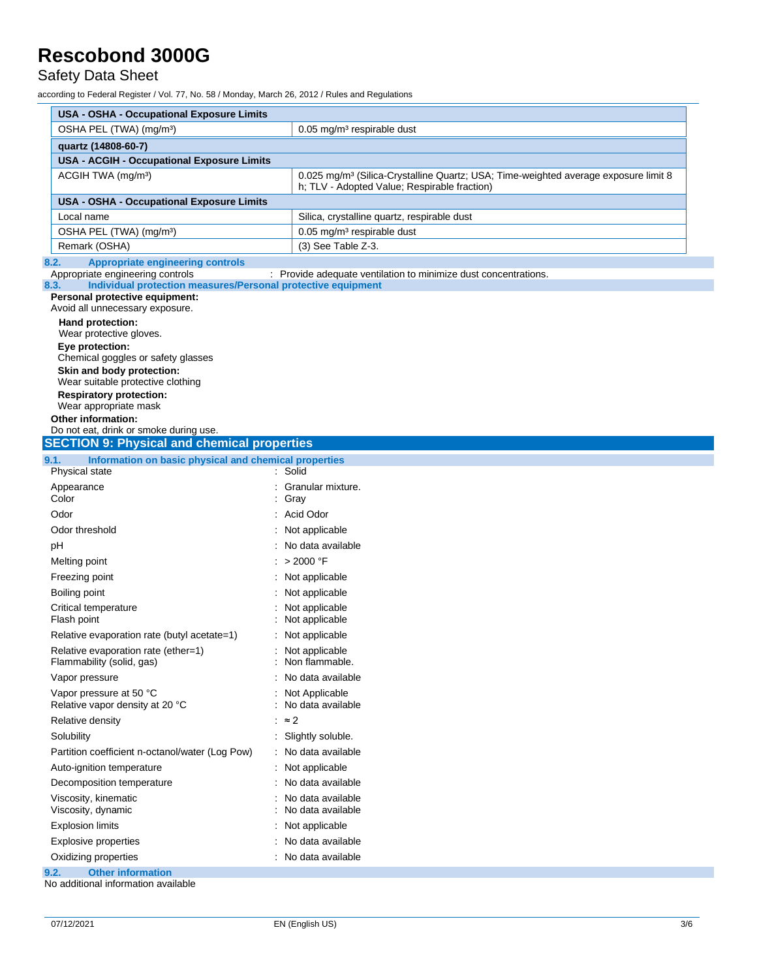Safety Data Sheet

| <b>USA - OSHA - Occupational Exposure Limits</b>                                                                                                            |                                                                                                                                                 |  |  |  |  |
|-------------------------------------------------------------------------------------------------------------------------------------------------------------|-------------------------------------------------------------------------------------------------------------------------------------------------|--|--|--|--|
| OSHA PEL (TWA) (mg/m <sup>3</sup> )<br>$0.05$ mg/m <sup>3</sup> respirable dust                                                                             |                                                                                                                                                 |  |  |  |  |
| quartz (14808-60-7)                                                                                                                                         |                                                                                                                                                 |  |  |  |  |
| <b>USA - ACGIH - Occupational Exposure Limits</b>                                                                                                           |                                                                                                                                                 |  |  |  |  |
| ACGIH TWA (mg/m <sup>3</sup> )                                                                                                                              | 0.025 mg/m <sup>3</sup> (Silica-Crystalline Quartz; USA; Time-weighted average exposure limit 8<br>h; TLV - Adopted Value; Respirable fraction) |  |  |  |  |
| <b>USA - OSHA - Occupational Exposure Limits</b>                                                                                                            |                                                                                                                                                 |  |  |  |  |
| Local name                                                                                                                                                  | Silica, crystalline quartz, respirable dust                                                                                                     |  |  |  |  |
| OSHA PEL (TWA) (mg/m <sup>3</sup> )                                                                                                                         | $0.05$ mg/m <sup>3</sup> respirable dust                                                                                                        |  |  |  |  |
| Remark (OSHA)                                                                                                                                               | (3) See Table Z-3.                                                                                                                              |  |  |  |  |
| <b>Appropriate engineering controls</b><br>8.2.<br>Appropriate engineering controls<br>Individual protection measures/Personal protective equipment<br>8.3. | : Provide adequate ventilation to minimize dust concentrations.                                                                                 |  |  |  |  |
| Personal protective equipment:<br>Avoid all unnecessary exposure.                                                                                           |                                                                                                                                                 |  |  |  |  |
| Hand protection:                                                                                                                                            |                                                                                                                                                 |  |  |  |  |
| Wear protective gloves.                                                                                                                                     |                                                                                                                                                 |  |  |  |  |
| Eye protection:                                                                                                                                             |                                                                                                                                                 |  |  |  |  |
| Chemical goggles or safety glasses<br>Skin and body protection:                                                                                             |                                                                                                                                                 |  |  |  |  |
| Wear suitable protective clothing                                                                                                                           |                                                                                                                                                 |  |  |  |  |
| <b>Respiratory protection:</b>                                                                                                                              |                                                                                                                                                 |  |  |  |  |
| Wear appropriate mask                                                                                                                                       |                                                                                                                                                 |  |  |  |  |
| <b>Other information:</b><br>Do not eat, drink or smoke during use.                                                                                         |                                                                                                                                                 |  |  |  |  |
| <b>SECTION 9: Physical and chemical properties</b>                                                                                                          |                                                                                                                                                 |  |  |  |  |
| Information on basic physical and chemical properties<br>9.1.                                                                                               |                                                                                                                                                 |  |  |  |  |
| Physical state                                                                                                                                              | : Solid                                                                                                                                         |  |  |  |  |
| Appearance                                                                                                                                                  | Granular mixture.                                                                                                                               |  |  |  |  |
| Color                                                                                                                                                       | Gray                                                                                                                                            |  |  |  |  |
| Odor<br>: Acid Odor                                                                                                                                         |                                                                                                                                                 |  |  |  |  |
| Odor threshold                                                                                                                                              | Not applicable                                                                                                                                  |  |  |  |  |
| pH                                                                                                                                                          | No data available                                                                                                                               |  |  |  |  |
| Melting point                                                                                                                                               | : > 2000 °F                                                                                                                                     |  |  |  |  |
| Freezing point                                                                                                                                              | : Not applicable                                                                                                                                |  |  |  |  |
| Boiling point                                                                                                                                               | Not applicable                                                                                                                                  |  |  |  |  |
| Critical temperature                                                                                                                                        | Not applicable                                                                                                                                  |  |  |  |  |
| Flash point                                                                                                                                                 | Not applicable                                                                                                                                  |  |  |  |  |
| Relative evaporation rate (butyl acetate=1)                                                                                                                 | Not applicable                                                                                                                                  |  |  |  |  |
| Relative evaporation rate (ether=1)<br>Flammability (solid, gas)                                                                                            | Not applicable<br>Non flammable.                                                                                                                |  |  |  |  |
| Vapor pressure                                                                                                                                              | No data available                                                                                                                               |  |  |  |  |
| Vapor pressure at 50 °C<br>Relative vapor density at 20 °C                                                                                                  | Not Applicable<br>No data available                                                                                                             |  |  |  |  |
| Relative density                                                                                                                                            | $\approx$ 2                                                                                                                                     |  |  |  |  |
| Solubility                                                                                                                                                  | Slightly soluble.                                                                                                                               |  |  |  |  |
| Partition coefficient n-octanol/water (Log Pow)<br>No data available                                                                                        |                                                                                                                                                 |  |  |  |  |
| Not applicable<br>Auto-ignition temperature                                                                                                                 |                                                                                                                                                 |  |  |  |  |
| Decomposition temperature                                                                                                                                   | No data available                                                                                                                               |  |  |  |  |
| Viscosity, kinematic<br>Viscosity, dynamic                                                                                                                  | No data available<br>No data available                                                                                                          |  |  |  |  |
| <b>Explosion limits</b>                                                                                                                                     | Not applicable                                                                                                                                  |  |  |  |  |
| <b>Explosive properties</b>                                                                                                                                 | No data available                                                                                                                               |  |  |  |  |
| Oxidizing properties                                                                                                                                        | No data available                                                                                                                               |  |  |  |  |
|                                                                                                                                                             |                                                                                                                                                 |  |  |  |  |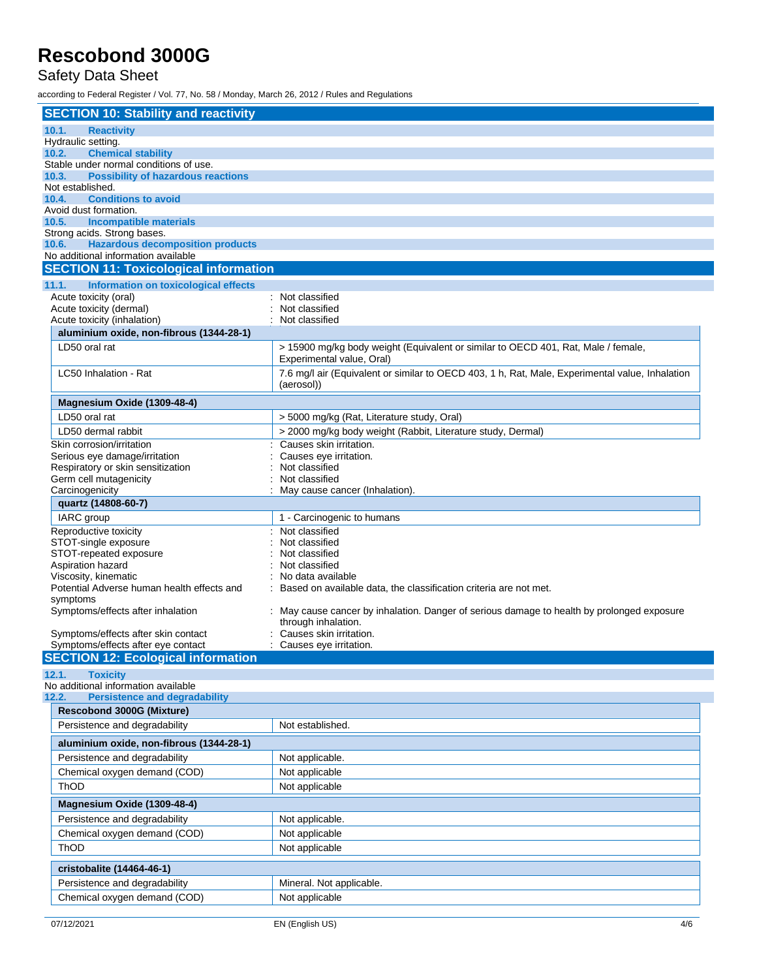### Safety Data Sheet

| <b>SECTION 10: Stability and reactivity</b>                                         |                                                                                                 |
|-------------------------------------------------------------------------------------|-------------------------------------------------------------------------------------------------|
| 10.1.<br><b>Reactivity</b>                                                          |                                                                                                 |
| Hydraulic setting.                                                                  |                                                                                                 |
| <b>Chemical stability</b><br>10.2.                                                  |                                                                                                 |
| Stable under normal conditions of use.                                              |                                                                                                 |
| 10.3.<br><b>Possibility of hazardous reactions</b><br>Not established.              |                                                                                                 |
| <b>Conditions to avoid</b><br>10.4.                                                 |                                                                                                 |
| Avoid dust formation.                                                               |                                                                                                 |
| <b>Incompatible materials</b><br>10.5.                                              |                                                                                                 |
| Strong acids. Strong bases.                                                         |                                                                                                 |
| <b>Hazardous decomposition products</b><br>10.6.                                    |                                                                                                 |
| No additional information available<br><b>SECTION 11: Toxicological information</b> |                                                                                                 |
|                                                                                     |                                                                                                 |
| 11.1.<br>Information on toxicological effects                                       | : Not classified                                                                                |
| Acute toxicity (oral)<br>Acute toxicity (dermal)                                    | Not classified                                                                                  |
| Acute toxicity (inhalation)                                                         | Not classified                                                                                  |
| aluminium oxide, non-fibrous (1344-28-1)                                            |                                                                                                 |
| LD50 oral rat                                                                       | > 15900 mg/kg body weight (Equivalent or similar to OECD 401, Rat, Male / female,               |
|                                                                                     | Experimental value, Oral)                                                                       |
| LC50 Inhalation - Rat                                                               | 7.6 mg/l air (Equivalent or similar to OECD 403, 1 h, Rat, Male, Experimental value, Inhalation |
|                                                                                     | (aerosol))                                                                                      |
| Magnesium Oxide (1309-48-4)                                                         |                                                                                                 |
| LD50 oral rat                                                                       | > 5000 mg/kg (Rat, Literature study, Oral)                                                      |
| LD50 dermal rabbit                                                                  | > 2000 mg/kg body weight (Rabbit, Literature study, Dermal)                                     |
| Skin corrosion/irritation                                                           | Causes skin irritation.                                                                         |
| Serious eye damage/irritation                                                       | Causes eye irritation.                                                                          |
| Respiratory or skin sensitization                                                   | Not classified                                                                                  |
| Germ cell mutagenicity                                                              | Not classified                                                                                  |
| Carcinogenicity                                                                     | May cause cancer (Inhalation).                                                                  |
| quartz (14808-60-7)                                                                 |                                                                                                 |
| <b>IARC</b> group                                                                   | 1 - Carcinogenic to humans                                                                      |
| Reproductive toxicity                                                               | Not classified                                                                                  |
| STOT-single exposure<br>STOT-repeated exposure                                      | Not classified                                                                                  |
| Aspiration hazard                                                                   | Not classified<br>Not classified                                                                |
| Viscosity, kinematic                                                                | No data available                                                                               |
| Potential Adverse human health effects and                                          | Based on available data, the classification criteria are not met.                               |
| symptoms                                                                            |                                                                                                 |
| Symptoms/effects after inhalation                                                   | May cause cancer by inhalation. Danger of serious damage to health by prolonged exposure        |
|                                                                                     | through inhalation.                                                                             |
| Symptoms/effects after skin contact<br>Symptoms/effects after eye contact           | Causes skin irritation.<br>Causes eye irritation.                                               |
| <b>SECTION 12: Ecological information</b>                                           |                                                                                                 |
| <b>Toxicity</b><br>12.1.                                                            |                                                                                                 |
| No additional information available                                                 |                                                                                                 |
| <b>Persistence and degradability</b><br>12.2.                                       |                                                                                                 |
| Rescobond 3000G (Mixture)                                                           |                                                                                                 |
| Persistence and degradability                                                       | Not established.                                                                                |
| aluminium oxide, non-fibrous (1344-28-1)                                            |                                                                                                 |
| Persistence and degradability                                                       | Not applicable.                                                                                 |
| Chemical oxygen demand (COD)                                                        | Not applicable                                                                                  |
| ThOD                                                                                | Not applicable                                                                                  |
| Magnesium Oxide (1309-48-4)                                                         |                                                                                                 |
| Persistence and degradability                                                       | Not applicable.                                                                                 |
| Chemical oxygen demand (COD)                                                        | Not applicable                                                                                  |
| ThOD                                                                                | Not applicable                                                                                  |
|                                                                                     |                                                                                                 |
| cristobalite (14464-46-1)                                                           |                                                                                                 |
| Persistence and degradability                                                       | Mineral. Not applicable.                                                                        |
| Chemical oxygen demand (COD)                                                        | Not applicable                                                                                  |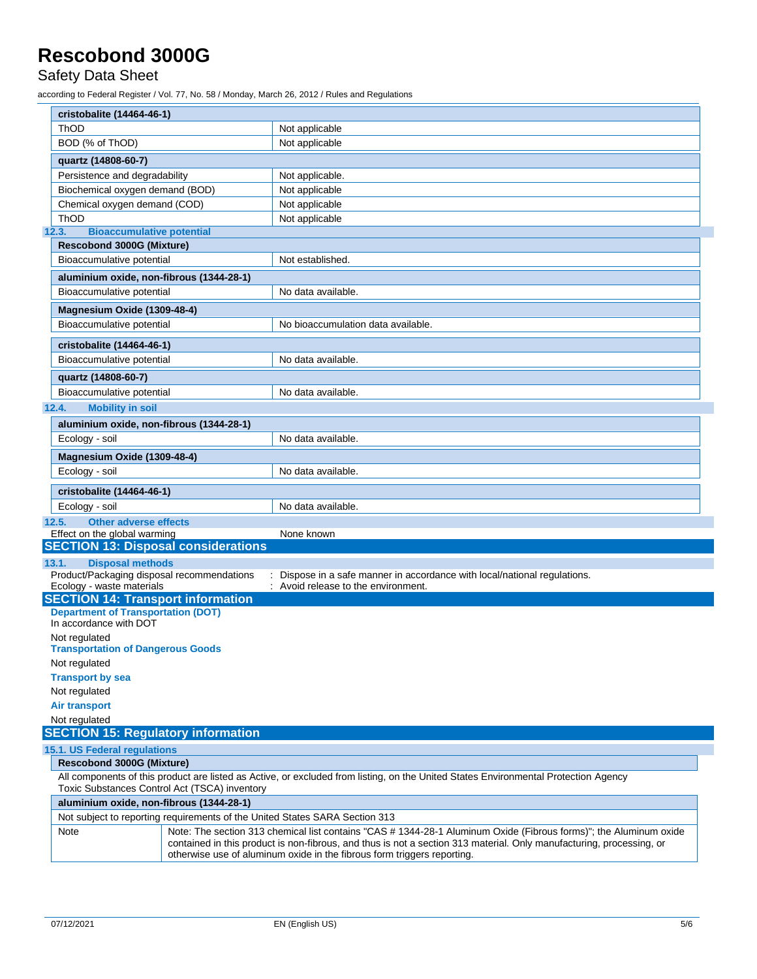### Safety Data Sheet

|                                                                       | cristobalite (14464-46-1)                                                                                                                                                                                                                                                                                            |                                                                             |  |  |
|-----------------------------------------------------------------------|----------------------------------------------------------------------------------------------------------------------------------------------------------------------------------------------------------------------------------------------------------------------------------------------------------------------|-----------------------------------------------------------------------------|--|--|
| ThOD                                                                  | Not applicable                                                                                                                                                                                                                                                                                                       |                                                                             |  |  |
| BOD (% of ThOD)                                                       |                                                                                                                                                                                                                                                                                                                      | Not applicable                                                              |  |  |
| quartz (14808-60-7)                                                   |                                                                                                                                                                                                                                                                                                                      |                                                                             |  |  |
|                                                                       |                                                                                                                                                                                                                                                                                                                      | Not applicable.                                                             |  |  |
| Persistence and degradability<br>Biochemical oxygen demand (BOD)      |                                                                                                                                                                                                                                                                                                                      | Not applicable                                                              |  |  |
| Chemical oxygen demand (COD)                                          |                                                                                                                                                                                                                                                                                                                      | Not applicable                                                              |  |  |
| ThOD                                                                  |                                                                                                                                                                                                                                                                                                                      | Not applicable                                                              |  |  |
| 12.3.<br><b>Bioaccumulative potential</b>                             |                                                                                                                                                                                                                                                                                                                      |                                                                             |  |  |
| <b>Rescobond 3000G (Mixture)</b>                                      |                                                                                                                                                                                                                                                                                                                      |                                                                             |  |  |
| Bioaccumulative potential                                             |                                                                                                                                                                                                                                                                                                                      | Not established.                                                            |  |  |
|                                                                       | aluminium oxide, non-fibrous (1344-28-1)                                                                                                                                                                                                                                                                             |                                                                             |  |  |
| Bioaccumulative potential                                             |                                                                                                                                                                                                                                                                                                                      | No data available.                                                          |  |  |
|                                                                       |                                                                                                                                                                                                                                                                                                                      |                                                                             |  |  |
| Magnesium Oxide (1309-48-4)                                           |                                                                                                                                                                                                                                                                                                                      |                                                                             |  |  |
| Bioaccumulative potential                                             |                                                                                                                                                                                                                                                                                                                      | No bioaccumulation data available.                                          |  |  |
| cristobalite (14464-46-1)                                             |                                                                                                                                                                                                                                                                                                                      |                                                                             |  |  |
| Bioaccumulative potential                                             |                                                                                                                                                                                                                                                                                                                      | No data available.                                                          |  |  |
| quartz (14808-60-7)                                                   |                                                                                                                                                                                                                                                                                                                      |                                                                             |  |  |
| Bioaccumulative potential                                             |                                                                                                                                                                                                                                                                                                                      | No data available.                                                          |  |  |
| 12.4.<br><b>Mobility in soil</b>                                      |                                                                                                                                                                                                                                                                                                                      |                                                                             |  |  |
|                                                                       |                                                                                                                                                                                                                                                                                                                      |                                                                             |  |  |
|                                                                       | aluminium oxide, non-fibrous (1344-28-1)                                                                                                                                                                                                                                                                             | No data available.                                                          |  |  |
| Ecology - soil                                                        |                                                                                                                                                                                                                                                                                                                      |                                                                             |  |  |
| Magnesium Oxide (1309-48-4)                                           |                                                                                                                                                                                                                                                                                                                      |                                                                             |  |  |
| Ecology - soil                                                        |                                                                                                                                                                                                                                                                                                                      | No data available.                                                          |  |  |
| cristobalite (14464-46-1)                                             |                                                                                                                                                                                                                                                                                                                      |                                                                             |  |  |
| Ecology - soil                                                        |                                                                                                                                                                                                                                                                                                                      | No data available.                                                          |  |  |
| <b>Other adverse effects</b><br>12.5.                                 |                                                                                                                                                                                                                                                                                                                      |                                                                             |  |  |
| Effect on the global warming                                          |                                                                                                                                                                                                                                                                                                                      | None known                                                                  |  |  |
|                                                                       | <b>SECTION 13: Disposal considerations</b>                                                                                                                                                                                                                                                                           |                                                                             |  |  |
| 13.1.<br><b>Disposal methods</b>                                      |                                                                                                                                                                                                                                                                                                                      |                                                                             |  |  |
| Product/Packaging disposal recommendations                            |                                                                                                                                                                                                                                                                                                                      | : Dispose in a safe manner in accordance with local/national regulations.   |  |  |
| Ecology - waste materials<br><b>SECTION 14: Transport information</b> |                                                                                                                                                                                                                                                                                                                      | : Avoid release to the environment.                                         |  |  |
| <b>Department of Transportation (DOT)</b>                             |                                                                                                                                                                                                                                                                                                                      |                                                                             |  |  |
| In accordance with DOT                                                |                                                                                                                                                                                                                                                                                                                      |                                                                             |  |  |
| Not regulated                                                         |                                                                                                                                                                                                                                                                                                                      |                                                                             |  |  |
| <b>Transportation of Dangerous Goods</b>                              |                                                                                                                                                                                                                                                                                                                      |                                                                             |  |  |
| Not regulated                                                         |                                                                                                                                                                                                                                                                                                                      |                                                                             |  |  |
| <b>Transport by sea</b>                                               |                                                                                                                                                                                                                                                                                                                      |                                                                             |  |  |
| Not regulated                                                         |                                                                                                                                                                                                                                                                                                                      |                                                                             |  |  |
| <b>Air transport</b>                                                  |                                                                                                                                                                                                                                                                                                                      |                                                                             |  |  |
| Not regulated                                                         |                                                                                                                                                                                                                                                                                                                      |                                                                             |  |  |
| <b>SECTION 15: Regulatory information</b>                             |                                                                                                                                                                                                                                                                                                                      |                                                                             |  |  |
| 15.1. US Federal regulations                                          |                                                                                                                                                                                                                                                                                                                      |                                                                             |  |  |
| Rescobond 3000G (Mixture)                                             |                                                                                                                                                                                                                                                                                                                      |                                                                             |  |  |
|                                                                       | All components of this product are listed as Active, or excluded from listing, on the United States Environmental Protection Agency<br>Toxic Substances Control Act (TSCA) inventory                                                                                                                                 |                                                                             |  |  |
|                                                                       | aluminium oxide, non-fibrous (1344-28-1)                                                                                                                                                                                                                                                                             |                                                                             |  |  |
|                                                                       |                                                                                                                                                                                                                                                                                                                      | Not subject to reporting requirements of the United States SARA Section 313 |  |  |
| Note                                                                  | Note: The section 313 chemical list contains "CAS # 1344-28-1 Aluminum Oxide (Fibrous forms)"; the Aluminum oxide<br>contained in this product is non-fibrous, and thus is not a section 313 material. Only manufacturing, processing, or<br>otherwise use of aluminum oxide in the fibrous form triggers reporting. |                                                                             |  |  |